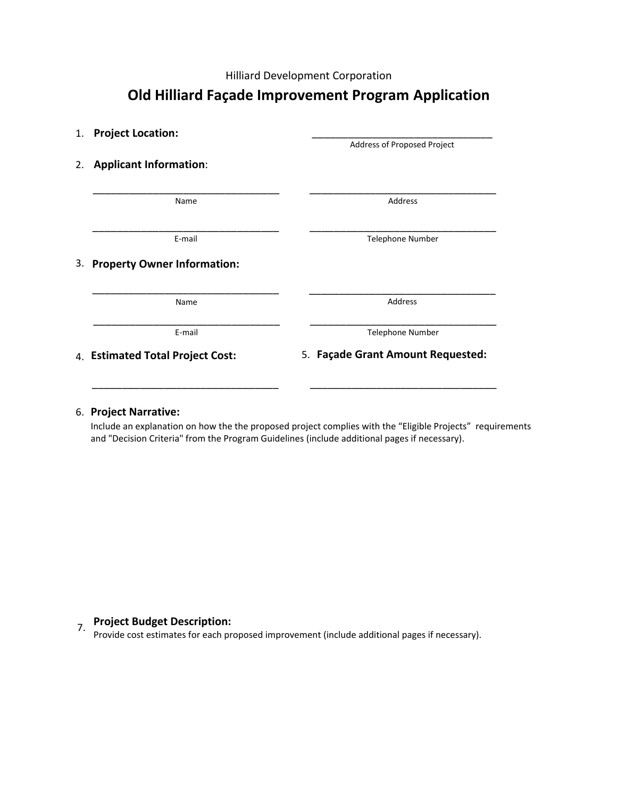Hilliard Development Corporation

## **Old Hilliard Façade Improvement Program Application**

| 1. Project Location:                     |                                   |
|------------------------------------------|-----------------------------------|
|                                          | Address of Proposed Project       |
| <b>Applicant Information:</b><br>2.      |                                   |
| Name                                     | Address                           |
| E-mail                                   | Telephone Number                  |
| <b>Property Owner Information:</b><br>3. |                                   |
| Name                                     | Address                           |
| E-mail                                   | <b>Telephone Number</b>           |
| 4. Estimated Total Project Cost:         | 5. Façade Grant Amount Requested: |

## 6. **Project Narrative:**

Include an explanation on how the the proposed project complies with the "Eligible Projects" requirements and "Decision Criteria" from the Program Guidelines (include additional pages if necessary).

**Project Budget Description:**<br>Provide cost estimates for each proposed improvement (include additional pages if necessary).